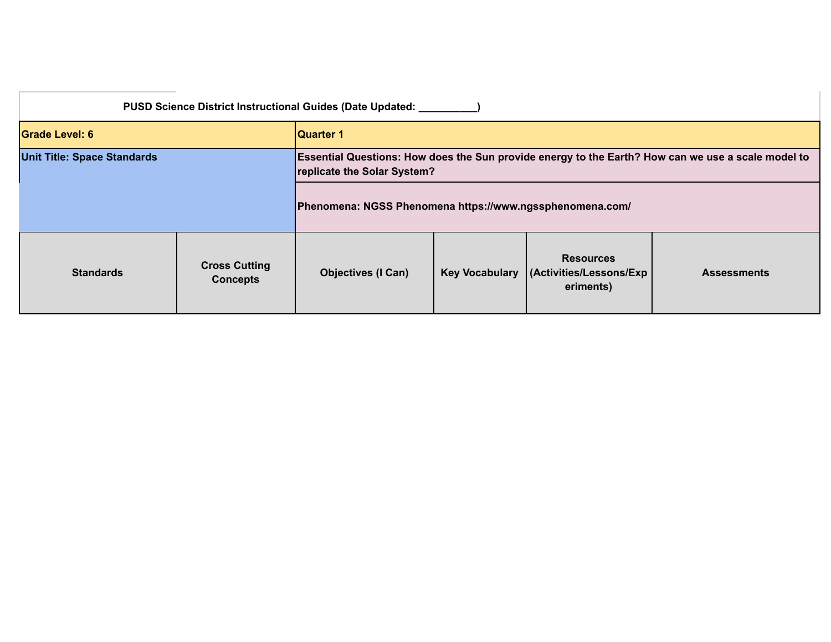| <b>PUSD Science District Instructional Guides (Date Updated:</b> |                                         |                                                                                                                                   |                                                                                                         |  |  |  |
|------------------------------------------------------------------|-----------------------------------------|-----------------------------------------------------------------------------------------------------------------------------------|---------------------------------------------------------------------------------------------------------|--|--|--|
| <b>Grade Level: 6</b>                                            |                                         | <b>Quarter 1</b>                                                                                                                  |                                                                                                         |  |  |  |
| <b>Unit Title: Space Standards</b>                               |                                         | Essential Questions: How does the Sun provide energy to the Earth? How can we use a scale model to<br>replicate the Solar System? |                                                                                                         |  |  |  |
|                                                                  |                                         | Phenomena: NGSS Phenomena https://www.ngssphenomena.com/                                                                          |                                                                                                         |  |  |  |
| <b>Standards</b>                                                 | <b>Cross Cutting</b><br><b>Concepts</b> | <b>Objectives (I Can)</b>                                                                                                         | <b>Resources</b><br><b>Key Vocabulary</b><br>(Activities/Lessons/Exp<br><b>Assessments</b><br>eriments) |  |  |  |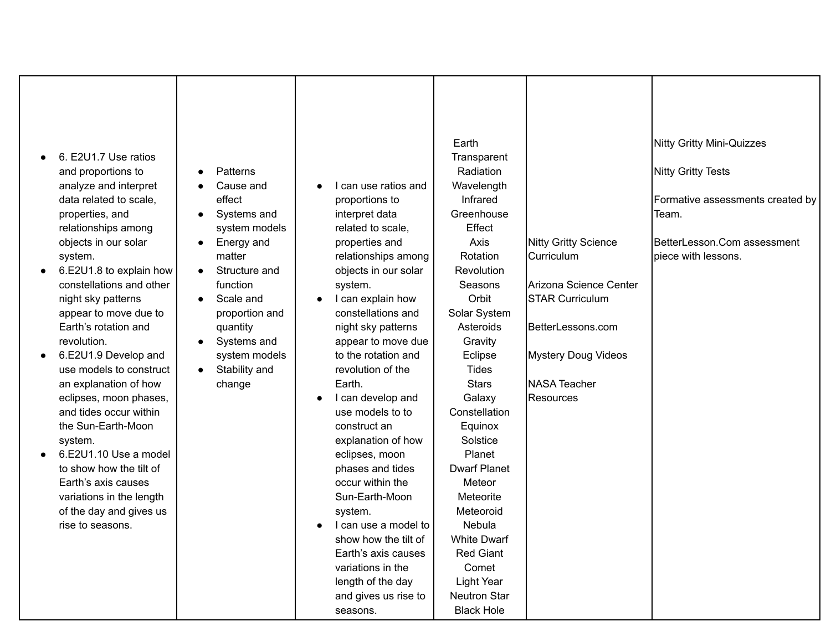| 6. E2U1.7 Use ratios<br>$\bullet$<br>and proportions to<br>analyze and interpret<br>data related to scale,<br>properties, and<br>relationships among<br>objects in our solar<br>system.<br>6.E2U1.8 to explain how<br>constellations and other<br>night sky patterns<br>appear to move due to | <b>Patterns</b><br>$\bullet$<br>Cause and<br>effect<br>Systems and<br>$\bullet$<br>system models<br>Energy and<br>$\bullet$<br>matter<br>Structure and<br>$\bullet$<br>function<br>Scale and<br>$\bullet$<br>proportion and | I can use ratios and<br>proportions to<br>interpret data<br>related to scale,<br>properties and<br>relationships among<br>objects in our solar<br>system.<br>I can explain how<br>constellations and | Earth<br>Transparent<br>Radiation<br>Wavelength<br>Infrared<br>Greenhouse<br>Effect<br>Axis<br>Rotation<br>Revolution<br>Seasons<br>Orbit<br>Solar System | <b>Nitty Gritty Science</b><br>Curriculum<br>Arizona Science Center<br><b>STAR Curriculum</b> | <b>Nitty Gritty Mini-Quizzes</b><br><b>Nitty Gritty Tests</b><br>Formative assessments created by<br>Team.<br>BetterLesson.Com assessment<br>piece with lessons. |
|-----------------------------------------------------------------------------------------------------------------------------------------------------------------------------------------------------------------------------------------------------------------------------------------------|-----------------------------------------------------------------------------------------------------------------------------------------------------------------------------------------------------------------------------|------------------------------------------------------------------------------------------------------------------------------------------------------------------------------------------------------|-----------------------------------------------------------------------------------------------------------------------------------------------------------|-----------------------------------------------------------------------------------------------|------------------------------------------------------------------------------------------------------------------------------------------------------------------|
| Earth's rotation and                                                                                                                                                                                                                                                                          | quantity                                                                                                                                                                                                                    | night sky patterns                                                                                                                                                                                   | Asteroids                                                                                                                                                 | BetterLessons.com                                                                             |                                                                                                                                                                  |
| revolution.                                                                                                                                                                                                                                                                                   | Systems and<br>$\bullet$                                                                                                                                                                                                    | appear to move due                                                                                                                                                                                   | Gravity                                                                                                                                                   |                                                                                               |                                                                                                                                                                  |
| 6.E2U1.9 Develop and<br>$\bullet$<br>use models to construct                                                                                                                                                                                                                                  | system models<br>Stability and<br>$\bullet$                                                                                                                                                                                 | to the rotation and<br>revolution of the                                                                                                                                                             | Eclipse<br><b>Tides</b>                                                                                                                                   | <b>Mystery Doug Videos</b>                                                                    |                                                                                                                                                                  |
| an explanation of how                                                                                                                                                                                                                                                                         | change                                                                                                                                                                                                                      | Earth.                                                                                                                                                                                               | <b>Stars</b>                                                                                                                                              | <b>NASA Teacher</b>                                                                           |                                                                                                                                                                  |
| eclipses, moon phases,                                                                                                                                                                                                                                                                        |                                                                                                                                                                                                                             | I can develop and                                                                                                                                                                                    | Galaxy                                                                                                                                                    | Resources                                                                                     |                                                                                                                                                                  |
| and tides occur within                                                                                                                                                                                                                                                                        |                                                                                                                                                                                                                             | use models to to                                                                                                                                                                                     | Constellation                                                                                                                                             |                                                                                               |                                                                                                                                                                  |
| the Sun-Earth-Moon                                                                                                                                                                                                                                                                            |                                                                                                                                                                                                                             | construct an                                                                                                                                                                                         | Equinox                                                                                                                                                   |                                                                                               |                                                                                                                                                                  |
| system.                                                                                                                                                                                                                                                                                       |                                                                                                                                                                                                                             | explanation of how                                                                                                                                                                                   | Solstice                                                                                                                                                  |                                                                                               |                                                                                                                                                                  |
| 6.E2U1.10 Use a model                                                                                                                                                                                                                                                                         |                                                                                                                                                                                                                             | eclipses, moon                                                                                                                                                                                       | Planet                                                                                                                                                    |                                                                                               |                                                                                                                                                                  |
| to show how the tilt of                                                                                                                                                                                                                                                                       |                                                                                                                                                                                                                             | phases and tides                                                                                                                                                                                     | <b>Dwarf Planet</b>                                                                                                                                       |                                                                                               |                                                                                                                                                                  |
| Earth's axis causes                                                                                                                                                                                                                                                                           |                                                                                                                                                                                                                             | occur within the                                                                                                                                                                                     | Meteor                                                                                                                                                    |                                                                                               |                                                                                                                                                                  |
| variations in the length                                                                                                                                                                                                                                                                      |                                                                                                                                                                                                                             | Sun-Earth-Moon                                                                                                                                                                                       | Meteorite                                                                                                                                                 |                                                                                               |                                                                                                                                                                  |
| of the day and gives us                                                                                                                                                                                                                                                                       |                                                                                                                                                                                                                             | system.                                                                                                                                                                                              | Meteoroid                                                                                                                                                 |                                                                                               |                                                                                                                                                                  |
| rise to seasons.                                                                                                                                                                                                                                                                              |                                                                                                                                                                                                                             | I can use a model to                                                                                                                                                                                 | Nebula                                                                                                                                                    |                                                                                               |                                                                                                                                                                  |
|                                                                                                                                                                                                                                                                                               |                                                                                                                                                                                                                             | show how the tilt of                                                                                                                                                                                 | <b>White Dwarf</b>                                                                                                                                        |                                                                                               |                                                                                                                                                                  |
|                                                                                                                                                                                                                                                                                               |                                                                                                                                                                                                                             | Earth's axis causes                                                                                                                                                                                  | <b>Red Giant</b>                                                                                                                                          |                                                                                               |                                                                                                                                                                  |
|                                                                                                                                                                                                                                                                                               |                                                                                                                                                                                                                             | variations in the                                                                                                                                                                                    | Comet                                                                                                                                                     |                                                                                               |                                                                                                                                                                  |
|                                                                                                                                                                                                                                                                                               |                                                                                                                                                                                                                             | length of the day                                                                                                                                                                                    | <b>Light Year</b>                                                                                                                                         |                                                                                               |                                                                                                                                                                  |
|                                                                                                                                                                                                                                                                                               |                                                                                                                                                                                                                             | and gives us rise to                                                                                                                                                                                 | <b>Neutron Star</b>                                                                                                                                       |                                                                                               |                                                                                                                                                                  |
|                                                                                                                                                                                                                                                                                               |                                                                                                                                                                                                                             | seasons.                                                                                                                                                                                             | <b>Black Hole</b>                                                                                                                                         |                                                                                               |                                                                                                                                                                  |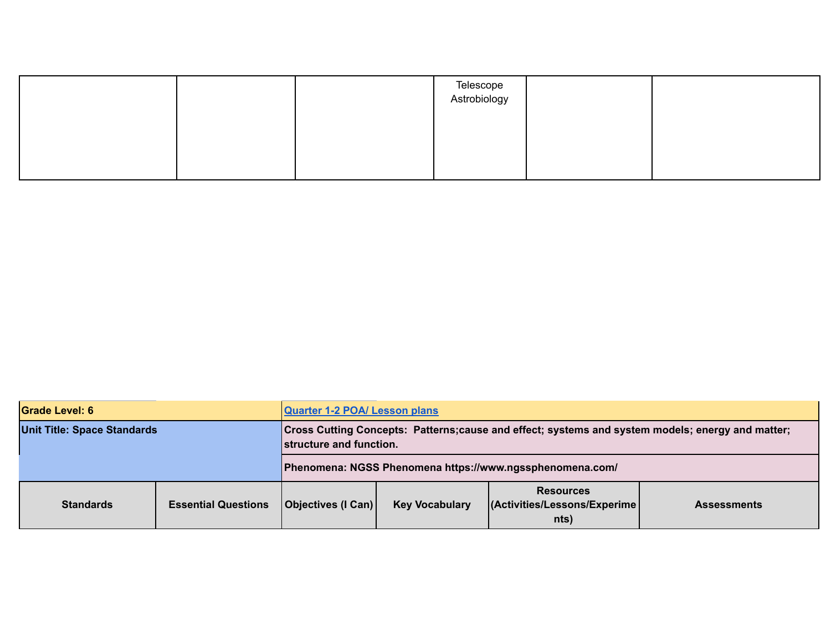|  | Telescope<br>Astrobiology |  |
|--|---------------------------|--|
|  |                           |  |
|  |                           |  |

| <b>Grade Level: 6</b>              |                            | <b>Quarter 1-2 POA/ Lesson plans</b>                                                                                        |                                                                                                          |  |  |  |
|------------------------------------|----------------------------|-----------------------------------------------------------------------------------------------------------------------------|----------------------------------------------------------------------------------------------------------|--|--|--|
| <b>Unit Title: Space Standards</b> |                            | Cross Cutting Concepts: Patterns;cause and effect; systems and system models; energy and matter;<br>structure and function. |                                                                                                          |  |  |  |
|                                    |                            | Phenomena: NGSS Phenomena https://www.ngssphenomena.com/                                                                    |                                                                                                          |  |  |  |
| <b>Standards</b>                   | <b>Essential Questions</b> | Objectives (I Can)                                                                                                          | <b>Resources</b><br>(Activities/Lessons/Experime)<br><b>Key Vocabulary</b><br><b>Assessments</b><br>nts) |  |  |  |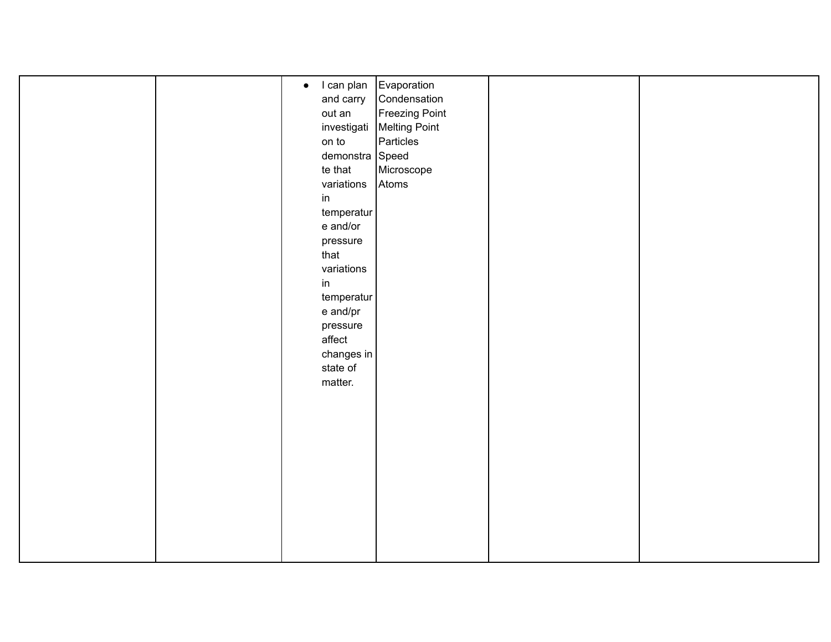|  | $\bullet$ I can plan Evaporation |                             |  |
|--|----------------------------------|-----------------------------|--|
|  | and carry                        | Condensation                |  |
|  | out an                           | Freezing Point              |  |
|  |                                  | investigati   Melting Point |  |
|  | on to                            | Particles                   |  |
|  | demonstra Speed                  |                             |  |
|  | te that                          | Microscope                  |  |
|  | variations                       | Atoms                       |  |
|  | in                               |                             |  |
|  | temperatur                       |                             |  |
|  | e and/or                         |                             |  |
|  | pressure                         |                             |  |
|  | that                             |                             |  |
|  | variations                       |                             |  |
|  | in                               |                             |  |
|  | temperatur                       |                             |  |
|  | e and/pr                         |                             |  |
|  | pressure                         |                             |  |
|  | affect                           |                             |  |
|  | changes in                       |                             |  |
|  | state of                         |                             |  |
|  | matter.                          |                             |  |
|  |                                  |                             |  |
|  |                                  |                             |  |
|  |                                  |                             |  |
|  |                                  |                             |  |
|  |                                  |                             |  |
|  |                                  |                             |  |
|  |                                  |                             |  |
|  |                                  |                             |  |
|  |                                  |                             |  |
|  |                                  |                             |  |
|  |                                  |                             |  |
|  |                                  |                             |  |
|  |                                  |                             |  |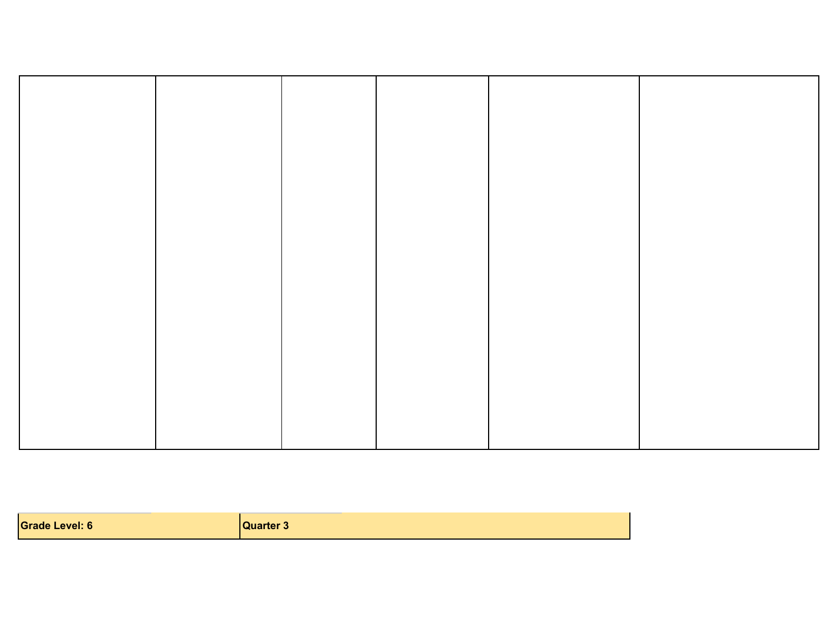| <b>Grade Level: 6</b> | uarter <b>≎</b> |
|-----------------------|-----------------|
|-----------------------|-----------------|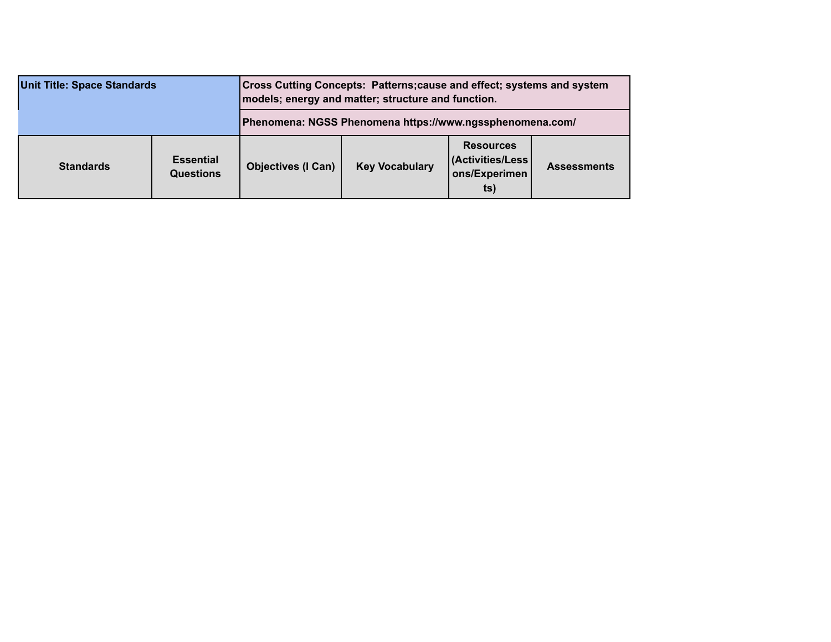| <b>Unit Title: Space Standards</b> |                                      | <b>Cross Cutting Concepts: Patterns; cause and effect; systems and system</b><br>models; energy and matter; structure and function. |                       |                                                               |                    |  |
|------------------------------------|--------------------------------------|-------------------------------------------------------------------------------------------------------------------------------------|-----------------------|---------------------------------------------------------------|--------------------|--|
|                                    |                                      | Phenomena: NGSS Phenomena https://www.ngssphenomena.com/                                                                            |                       |                                                               |                    |  |
| <b>Standards</b>                   | <b>Essential</b><br><b>Questions</b> | <b>Objectives (I Can)</b>                                                                                                           | <b>Key Vocabulary</b> | <b>Resources</b><br>(Activities/Less)<br>ons/Experimen<br>ts) | <b>Assessments</b> |  |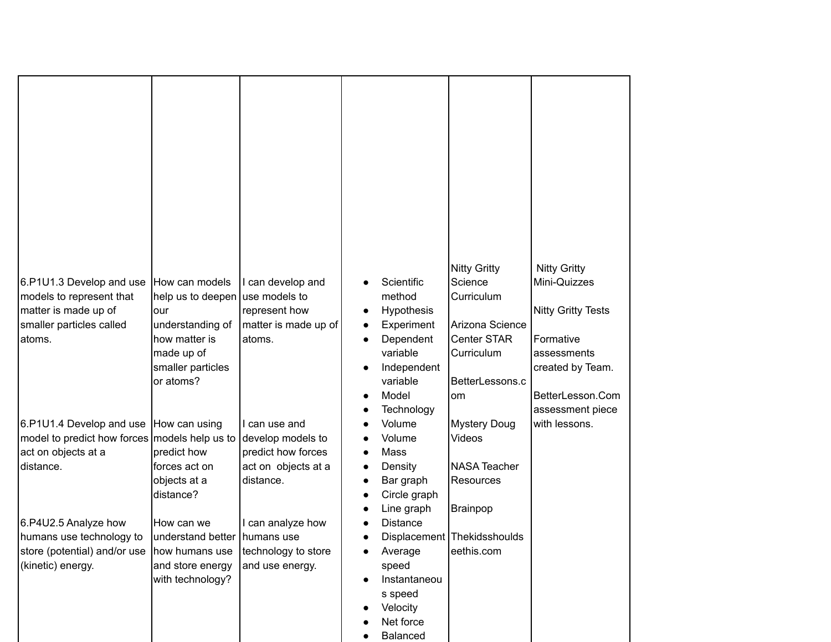| 6.P1U1.3 Develop and use                          | How can models                     | I can develop and                      |           | Scientific          | <b>Nitty Gritty</b><br>Science              | <b>Nitty Gritty</b><br>Mini-Quizzes  |
|---------------------------------------------------|------------------------------------|----------------------------------------|-----------|---------------------|---------------------------------------------|--------------------------------------|
| models to represent that                          | help us to deepen use models to    |                                        |           | method              | Curriculum                                  |                                      |
| matter is made up of                              | our                                | represent how                          | $\bullet$ | Hypothesis          |                                             | <b>Nitty Gritty Tests</b>            |
| smaller particles called                          | understanding of                   | matter is made up of                   | ٠         | Experiment          | Arizona Science                             |                                      |
| atoms.                                            | how matter is                      | atoms.                                 | $\bullet$ | Dependent           | <b>Center STAR</b>                          | Formative                            |
|                                                   | made up of                         |                                        |           | variable            | Curriculum                                  | assessments                          |
|                                                   | smaller particles                  |                                        |           | Independent         |                                             | created by Team.                     |
|                                                   | or atoms?                          |                                        |           | variable            | BetterLessons.c                             |                                      |
|                                                   |                                    |                                        |           | Model<br>Technology | om                                          | BetterLesson.Com<br>assessment piece |
| 6.P1U1.4 Develop and use How can using            |                                    | I can use and                          |           | Volume              | <b>Mystery Doug</b>                         | with lessons.                        |
| model to predict how forces models help us to     |                                    | develop models to                      |           | Volume              | Videos                                      |                                      |
| act on objects at a                               | predict how                        | predict how forces                     |           | Mass                |                                             |                                      |
| distance.                                         | forces act on                      | act on objects at a                    |           | Density             | <b>NASA Teacher</b>                         |                                      |
|                                                   | objects at a                       | distance.                              |           | Bar graph           | <b>Resources</b>                            |                                      |
|                                                   | distance?                          |                                        |           | Circle graph        |                                             |                                      |
|                                                   |                                    |                                        |           | Line graph          | Brainpop                                    |                                      |
| 6.P4U2.5 Analyze how                              | How can we                         | I can analyze how                      |           | <b>Distance</b>     |                                             |                                      |
| humans use technology to                          | understand better   humans use     |                                        |           |                     | Displacement   Thekidsshoulds<br>eethis.com |                                      |
| store (potential) and/or use<br>(kinetic) energy. | how humans use<br>and store energy | technology to store<br>and use energy. |           | Average<br>speed    |                                             |                                      |
|                                                   | with technology?                   |                                        |           | Instantaneou        |                                             |                                      |
|                                                   |                                    |                                        |           | s speed             |                                             |                                      |
|                                                   |                                    |                                        |           | Velocity            |                                             |                                      |
|                                                   |                                    |                                        |           | Net force           |                                             |                                      |
|                                                   |                                    |                                        |           | <b>Balanced</b>     |                                             |                                      |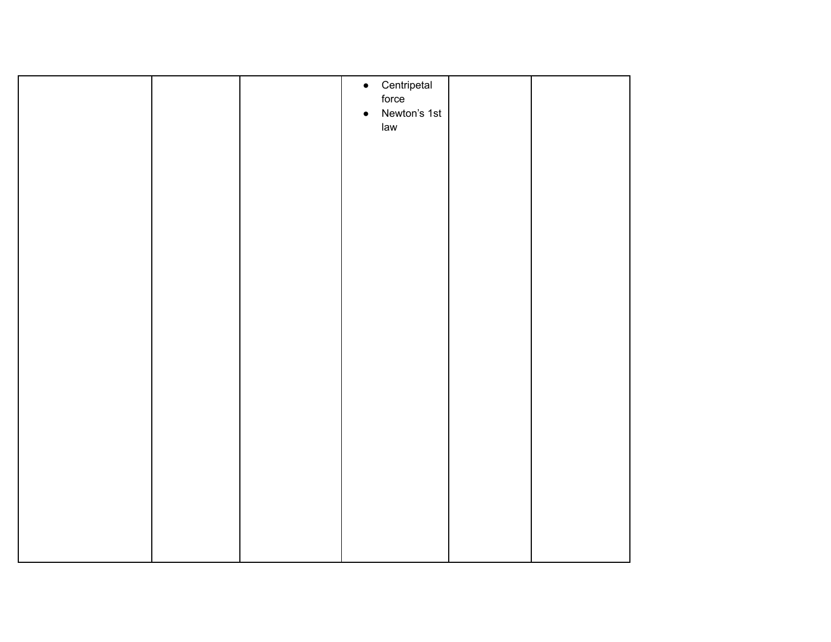|  |           | $\bullet$ Centripetal |  |
|--|-----------|-----------------------|--|
|  |           | force                 |  |
|  |           |                       |  |
|  | $\bullet$ | Newton's 1st          |  |
|  |           |                       |  |
|  |           | law                   |  |
|  |           |                       |  |
|  |           |                       |  |
|  |           |                       |  |
|  |           |                       |  |
|  |           |                       |  |
|  |           |                       |  |
|  |           |                       |  |
|  |           |                       |  |
|  |           |                       |  |
|  |           |                       |  |
|  |           |                       |  |
|  |           |                       |  |
|  |           |                       |  |
|  |           |                       |  |
|  |           |                       |  |
|  |           |                       |  |
|  |           |                       |  |
|  |           |                       |  |
|  |           |                       |  |
|  |           |                       |  |
|  |           |                       |  |
|  |           |                       |  |
|  |           |                       |  |
|  |           |                       |  |
|  |           |                       |  |
|  |           |                       |  |
|  |           |                       |  |
|  |           |                       |  |
|  |           |                       |  |
|  |           |                       |  |
|  |           |                       |  |
|  |           |                       |  |
|  |           |                       |  |
|  |           |                       |  |
|  |           |                       |  |
|  |           |                       |  |
|  |           |                       |  |
|  |           |                       |  |
|  |           |                       |  |
|  |           |                       |  |
|  |           |                       |  |
|  |           |                       |  |
|  |           |                       |  |
|  |           |                       |  |
|  |           |                       |  |
|  |           |                       |  |
|  |           |                       |  |
|  |           |                       |  |
|  |           |                       |  |
|  |           |                       |  |
|  |           |                       |  |
|  |           |                       |  |
|  |           |                       |  |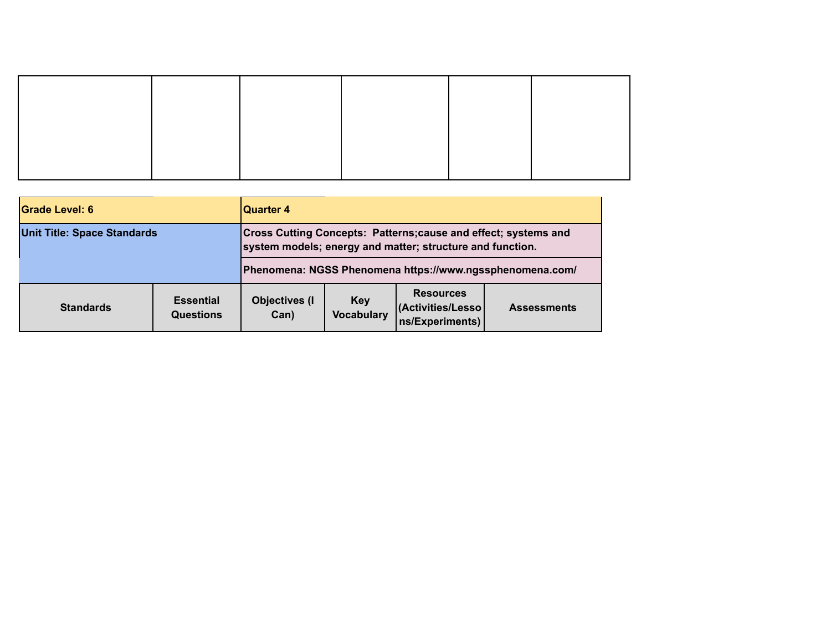| <b>Grade Level: 6</b>              |                                      | <b>Quarter 4</b>                                                                                                                    |                          |                                                           |                                                          |
|------------------------------------|--------------------------------------|-------------------------------------------------------------------------------------------------------------------------------------|--------------------------|-----------------------------------------------------------|----------------------------------------------------------|
| <b>Unit Title: Space Standards</b> |                                      | <b>Cross Cutting Concepts: Patterns; cause and effect; systems and</b><br>system models; energy and matter; structure and function. |                          |                                                           |                                                          |
|                                    |                                      |                                                                                                                                     |                          |                                                           | Phenomena: NGSS Phenomena https://www.ngssphenomena.com/ |
| <b>Standards</b>                   | <b>Essential</b><br><b>Questions</b> | <b>Objectives (I)</b><br>Can)                                                                                                       | Key<br><b>Vocabulary</b> | <b>Resources</b><br>(Activities/Lesso)<br>ns/Experiments) | <b>Assessments</b>                                       |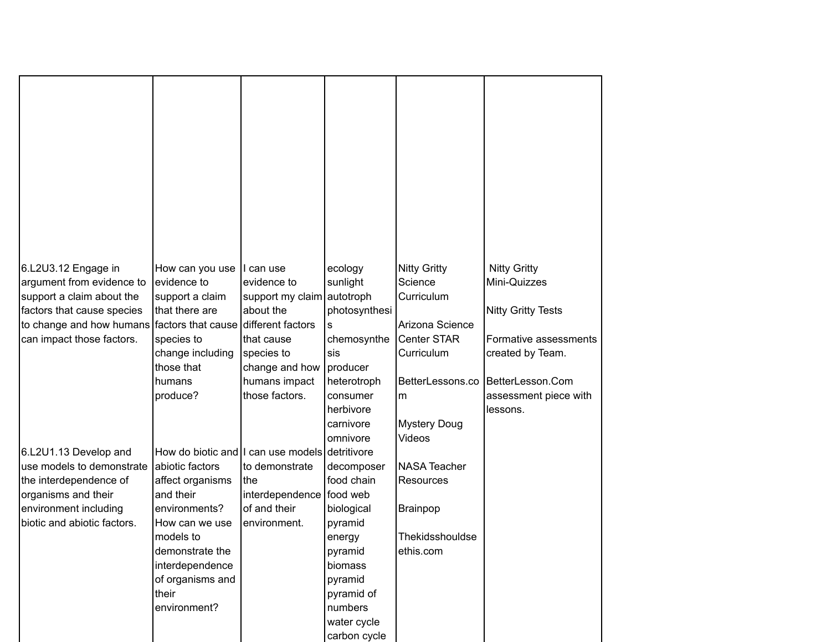| 6.L2U3.12 Engage in                                           | How can you use                                                   | I can use                  | ecology                  | <b>Nitty Gritty</b> | <b>Nitty Gritty</b>       |
|---------------------------------------------------------------|-------------------------------------------------------------------|----------------------------|--------------------------|---------------------|---------------------------|
| argument from evidence to                                     | evidence to                                                       | evidence to                | sunlight                 | Science             | Mini-Quizzes              |
| support a claim about the                                     | support a claim                                                   | support my claim autotroph |                          | Curriculum          |                           |
| factors that cause species                                    | that there are                                                    | about the                  | photosynthesi            |                     | <b>Nitty Gritty Tests</b> |
| to change and how humans factors that cause different factors |                                                                   |                            | s                        | Arizona Science     |                           |
| can impact those factors.                                     | species to                                                        | that cause                 | chemosynthe              | Center STAR         | Formative assessments     |
|                                                               | change including                                                  | species to                 | sis                      | Curriculum          | created by Team.          |
|                                                               | those that                                                        | change and how             | producer                 |                     |                           |
|                                                               | humans                                                            | humans impact              | heterotroph              | BetterLessons.co    | BetterLesson.Com          |
|                                                               | produce?                                                          | those factors.             | consumer                 | m                   | assessment piece with     |
|                                                               |                                                                   |                            | herbivore                |                     | lessons.                  |
|                                                               |                                                                   |                            | carnivore                | <b>Mystery Doug</b> |                           |
|                                                               |                                                                   |                            | omnivore                 | Videos              |                           |
| 6.L2U1.13 Develop and<br>use models to demonstrate            | How do biotic and I can use models detritivore<br>abiotic factors |                            |                          | <b>NASA Teacher</b> |                           |
| the interdependence of                                        | affect organisms                                                  | to demonstrate<br>the      | decomposer<br>food chain | <b>Resources</b>    |                           |
| organisms and their                                           | and their                                                         | interdependence food web   |                          |                     |                           |
| environment including                                         | environments?                                                     | of and their               | biological               | Brainpop            |                           |
| biotic and abiotic factors.                                   | How can we use                                                    | environment.               | pyramid                  |                     |                           |
|                                                               | models to                                                         |                            | energy                   | Thekidsshouldse     |                           |
|                                                               | demonstrate the                                                   |                            | pyramid                  | ethis.com           |                           |
|                                                               | interdependence                                                   |                            | biomass                  |                     |                           |
|                                                               | of organisms and                                                  |                            | pyramid                  |                     |                           |
|                                                               | their                                                             |                            | pyramid of               |                     |                           |
|                                                               | environment?                                                      |                            | numbers                  |                     |                           |
|                                                               |                                                                   |                            | water cycle              |                     |                           |
|                                                               |                                                                   |                            | carbon cycle             |                     |                           |